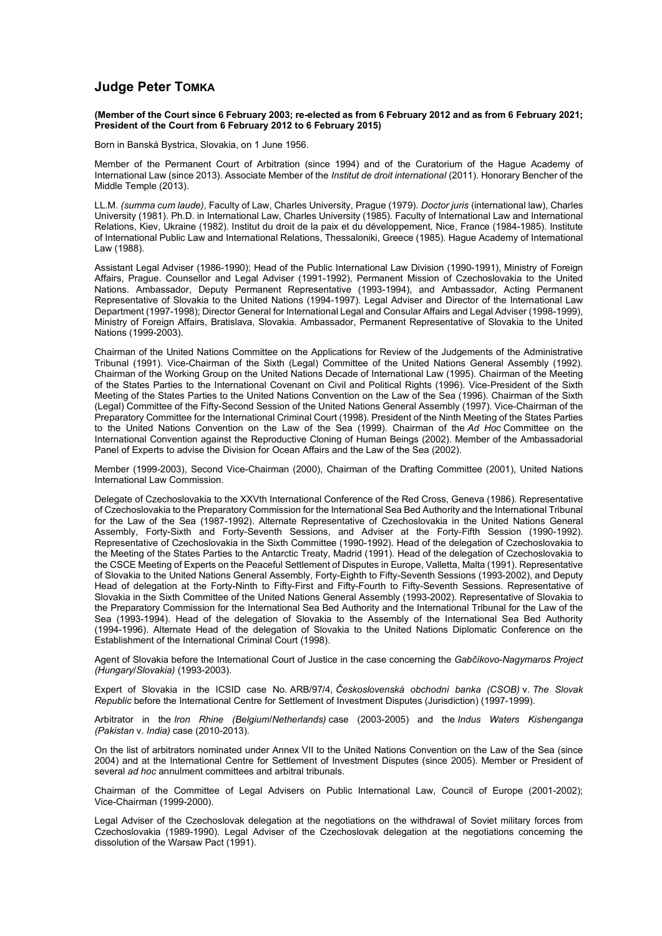## **Judge Peter TOMKA**

**(Member of the Court since 6 February 2003; re-elected as from 6 February 2012 and as from 6 February 2021; President of the Court from 6 February 2012 to 6 February 2015)**

Born in Banská Bystrica, Slovakia, on 1 June 1956.

Member of the Permanent Court of Arbitration (since 1994) and of the Curatorium of the Hague Academy of International Law (since 2013). Associate Member of the *Institut de droit international* (2011). Honorary Bencher of the Middle Temple (2013).

LL.M. *(summa cum laude)*, Faculty of Law, Charles University, Prague (1979). *Doctor juris* (international law), Charles University (1981). Ph.D. in International Law, Charles University (1985). Faculty of International Law and International Relations, Kiev, Ukraine (1982). Institut du droit de la paix et du développement, Nice, France (1984-1985). Institute of International Public Law and International Relations, Thessaloniki, Greece (1985). Hague Academy of International Law (1988).

Assistant Legal Adviser (1986-1990); Head of the Public International Law Division (1990-1991), Ministry of Foreign Affairs, Prague. Counsellor and Legal Adviser (1991-1992), Permanent Mission of Czechoslovakia to the United Nations. Ambassador, Deputy Permanent Representative (1993-1994), and Ambassador, Acting Permanent Representative of Slovakia to the United Nations (1994-1997). Legal Adviser and Director of the International Law Department (1997-1998); Director General for International Legal and Consular Affairs and Legal Adviser (1998-1999), Ministry of Foreign Affairs, Bratislava, Slovakia. Ambassador, Permanent Representative of Slovakia to the United Nations (1999-2003).

Chairman of the United Nations Committee on the Applications for Review of the Judgements of the Administrative Tribunal (1991). Vice-Chairman of the Sixth (Legal) Committee of the United Nations General Assembly (1992). Chairman of the Working Group on the United Nations Decade of International Law (1995). Chairman of the Meeting of the States Parties to the International Covenant on Civil and Political Rights (1996). Vice-President of the Sixth Meeting of the States Parties to the United Nations Convention on the Law of the Sea (1996). Chairman of the Sixth (Legal) Committee of the Fifty-Second Session of the United Nations General Assembly (1997). Vice-Chairman of the Preparatory Committee for the International Criminal Court (1998). President of the Ninth Meeting of the States Parties to the United Nations Convention on the Law of the Sea (1999). Chairman of the *Ad Hoc* Committee on the International Convention against the Reproductive Cloning of Human Beings (2002). Member of the Ambassadorial Panel of Experts to advise the Division for Ocean Affairs and the Law of the Sea (2002).

Member (1999-2003), Second Vice-Chairman (2000), Chairman of the Drafting Committee (2001), United Nations International Law Commission.

Delegate of Czechoslovakia to the XXVth International Conference of the Red Cross, Geneva (1986). Representative of Czechoslovakia to the Preparatory Commission for the International Sea Bed Authority and the International Tribunal for the Law of the Sea (1987-1992). Alternate Representative of Czechoslovakia in the United Nations General Assembly, Forty-Sixth and Forty-Seventh Sessions, and Adviser at the Forty-Fifth Session (1990-1992). Representative of Czechoslovakia in the Sixth Committee (1990-1992). Head of the delegation of Czechoslovakia to the Meeting of the States Parties to the Antarctic Treaty, Madrid (1991). Head of the delegation of Czechoslovakia to the CSCE Meeting of Experts on the Peaceful Settlement of Disputes in Europe, Valletta, Malta (1991). Representative of Slovakia to the United Nations General Assembly, Forty-Eighth to Fifty-Seventh Sessions (1993-2002), and Deputy Head of delegation at the Forty-Ninth to Fifty-First and Fifty-Fourth to Fifty-Seventh Sessions. Representative of Slovakia in the Sixth Committee of the United Nations General Assembly (1993-2002). Representative of Slovakia to the Preparatory Commission for the International Sea Bed Authority and the International Tribunal for the Law of the Sea (1993-1994). Head of the delegation of Slovakia to the Assembly of the International Sea Bed Authority (1994-1996). Alternate Head of the delegation of Slovakia to the United Nations Diplomatic Conference on the Establishment of the International Criminal Court (1998).

Agent of Slovakia before the International Court of Justice in the case concerning the *Gabčíkovo-Nagymaros Project (Hungary*/*Slovakia)* (1993-2003).

Expert of Slovakia in the ICSID case No. ARB/97/4, *Československá obchodní banka (CSOB)* v. *The Slovak Republic* before the International Centre for Settlement of Investment Disputes (Jurisdiction) (1997-1999).

Arbitrator in the *Iron Rhine (Belgium*/*Netherlands)* case (2003-2005) and the *Indus Waters Kishenganga (Pakistan* v. *India)* case (2010-2013).

On the list of arbitrators nominated under Annex VII to the United Nations Convention on the Law of the Sea (since 2004) and at the International Centre for Settlement of Investment Disputes (since 2005). Member or President of several *ad hoc* annulment committees and arbitral tribunals.

Chairman of the Committee of Legal Advisers on Public International Law, Council of Europe (2001-2002); Vice-Chairman (1999-2000).

Legal Adviser of the Czechoslovak delegation at the negotiations on the withdrawal of Soviet military forces from Czechoslovakia (1989-1990). Legal Adviser of the Czechoslovak delegation at the negotiations concerning the dissolution of the Warsaw Pact (1991).